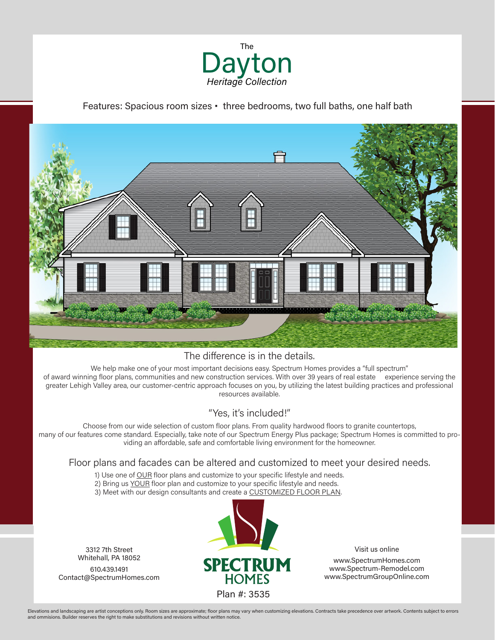

Features: Spacious room sizes • three bedrooms, two full baths, one half bath



## The difference is in the details.

We help make one of your most important decisions easy. Spectrum Homes provides a "full spectrum" of award winning floor plans, communities and new construction services. With over 39 years of real estate experience serving the greater Lehigh Valley area, our customer-centric approach focuses on you, by utilizing the latest building practices and professional resources available.

## "Yes, it's included!"

Choose from our wide selection of custom floor plans. From quality hardwood floors to granite countertops, many of our features come standard. Especially, take note of our Spectrum Energy Plus package; Spectrum Homes is committed to providing an affordable, safe and comfortable living environment for the homeowner.

## Floor plans and facades can be altered and customized to meet your desired needs.

- 1) Use one of OUR floor plans and customize to your specific lifestyle and needs.
- 2) Bring us YOUR floor plan and customize to your specific lifestyle and needs.
- 3) Meet with our design consultants and create a CUSTOMIZED FLOOR PLAN.

3312 7th Street Whitehall, PA 18052 610.439.1491 Contact@SpectrumHomes.com



Visit us online www.SpectrumHomes.com www.Spectrum-Remodel.com www.SpectrumGroupOnline.com

Elevations and landscaping are artist conceptions only. Room sizes are approximate; floor plans may vary when customizing elevations. Contracts take precedence over artwork. Contents subject to errors and ommisions. Builder reserves the right to make substitutions and revisions without written notice.